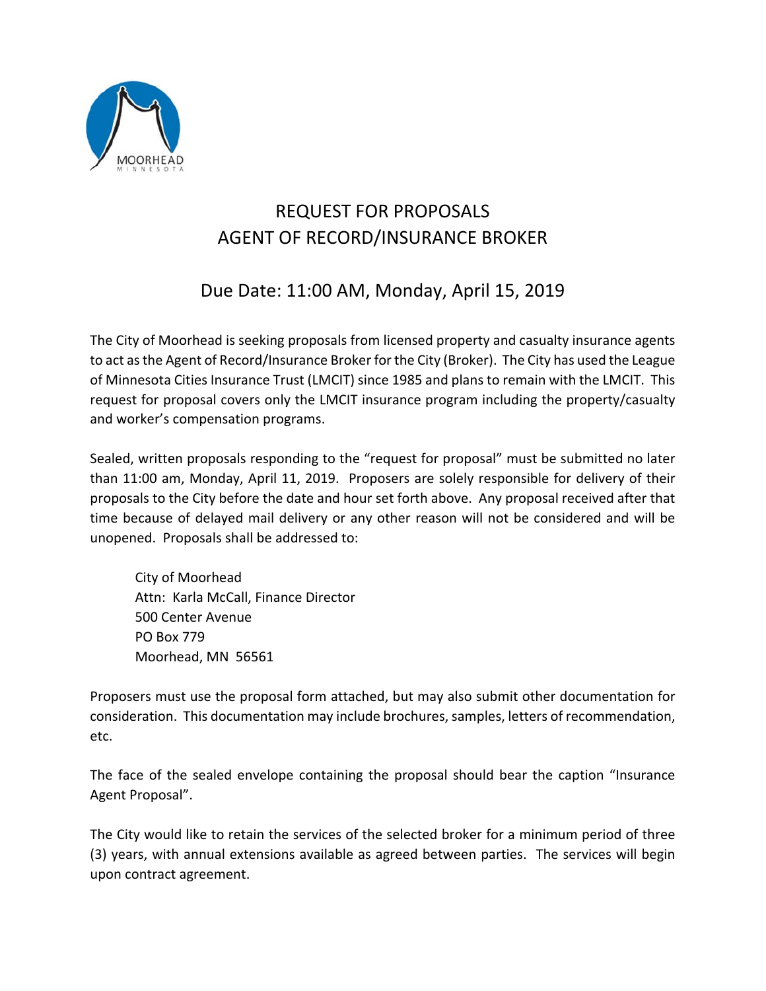

# REQUEST FOR PROPOSALS AGENT OF RECORD/INSURANCE BROKER

## Due Date: 11:00 AM, Monday, April 15, 2019

The City of Moorhead is seeking proposals from licensed property and casualty insurance agents to act as the Agent of Record/Insurance Broker for the City (Broker). The City has used the League of Minnesota Cities Insurance Trust (LMCIT) since 1985 and plans to remain with the LMCIT. This request for proposal covers only the LMCIT insurance program including the property/casualty and worker's compensation programs.

Sealed, written proposals responding to the "request for proposal" must be submitted no later than 11:00 am, Monday, April 11, 2019. Proposers are solely responsible for delivery of their proposals to the City before the date and hour set forth above. Any proposal received after that time because of delayed mail delivery or any other reason will not be considered and will be unopened. Proposals shall be addressed to:

 City of Moorhead Attn: Karla McCall, Finance Director 500 Center Avenue PO Box 779 Moorhead, MN 56561

Proposers must use the proposal form attached, but may also submit other documentation for consideration. This documentation may include brochures, samples, letters of recommendation, etc.

The face of the sealed envelope containing the proposal should bear the caption "Insurance Agent Proposal".

The City would like to retain the services of the selected broker for a minimum period of three (3) years, with annual extensions available as agreed between parties. The services will begin upon contract agreement.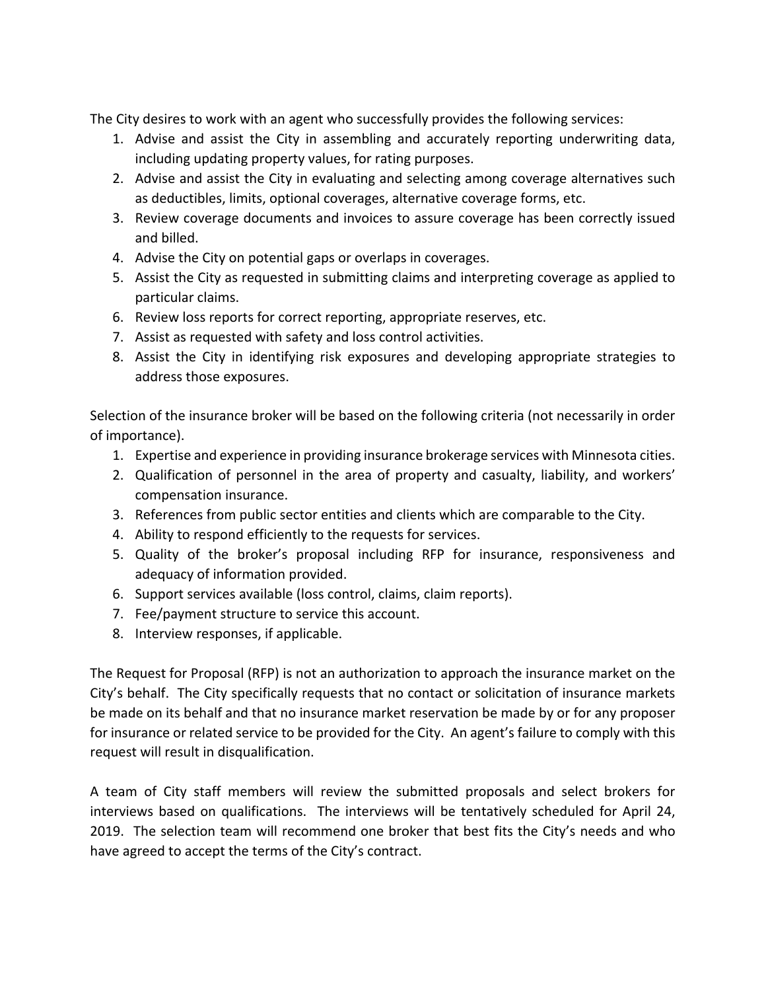The City desires to work with an agent who successfully provides the following services:

- 1. Advise and assist the City in assembling and accurately reporting underwriting data, including updating property values, for rating purposes.
- 2. Advise and assist the City in evaluating and selecting among coverage alternatives such as deductibles, limits, optional coverages, alternative coverage forms, etc.
- 3. Review coverage documents and invoices to assure coverage has been correctly issued and billed.
- 4. Advise the City on potential gaps or overlaps in coverages.
- 5. Assist the City as requested in submitting claims and interpreting coverage as applied to particular claims.
- 6. Review loss reports for correct reporting, appropriate reserves, etc.
- 7. Assist as requested with safety and loss control activities.
- 8. Assist the City in identifying risk exposures and developing appropriate strategies to address those exposures.

Selection of the insurance broker will be based on the following criteria (not necessarily in order of importance).

- 1. Expertise and experience in providing insurance brokerage services with Minnesota cities.
- 2. Qualification of personnel in the area of property and casualty, liability, and workers' compensation insurance.
- 3. References from public sector entities and clients which are comparable to the City.
- 4. Ability to respond efficiently to the requests for services.
- 5. Quality of the broker's proposal including RFP for insurance, responsiveness and adequacy of information provided.
- 6. Support services available (loss control, claims, claim reports).
- 7. Fee/payment structure to service this account.
- 8. Interview responses, if applicable.

The Request for Proposal (RFP) is not an authorization to approach the insurance market on the City's behalf. The City specifically requests that no contact or solicitation of insurance markets be made on its behalf and that no insurance market reservation be made by or for any proposer for insurance or related service to be provided for the City. An agent's failure to comply with this request will result in disqualification.

A team of City staff members will review the submitted proposals and select brokers for interviews based on qualifications. The interviews will be tentatively scheduled for April 24, 2019. The selection team will recommend one broker that best fits the City's needs and who have agreed to accept the terms of the City's contract.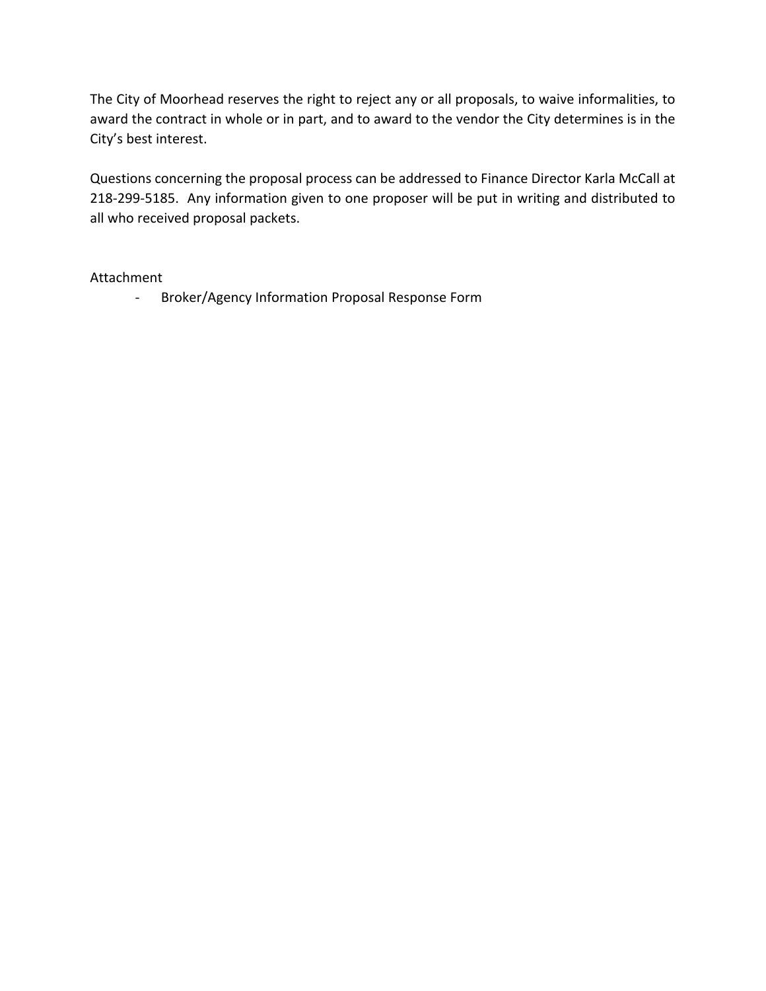The City of Moorhead reserves the right to reject any or all proposals, to waive informalities, to award the contract in whole or in part, and to award to the vendor the City determines is in the City's best interest.

Questions concerning the proposal process can be addressed to Finance Director Karla McCall at 218‐299‐5185. Any information given to one proposer will be put in writing and distributed to all who received proposal packets.

#### Attachment

‐ Broker/Agency Information Proposal Response Form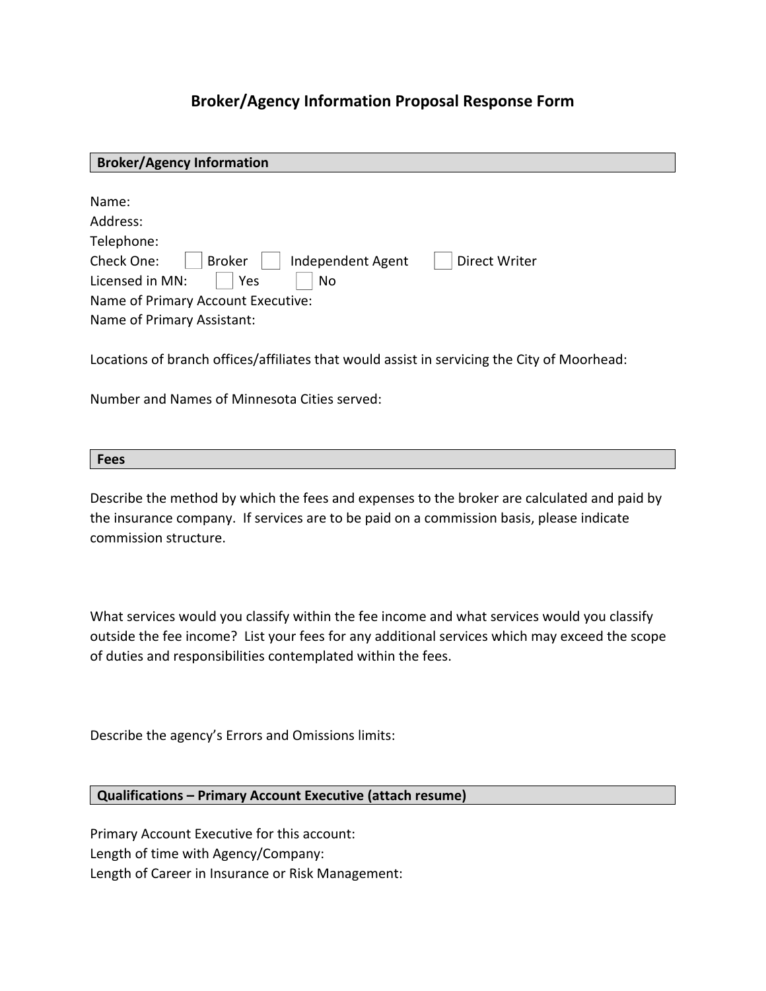### **Broker/Agency Information Proposal Response Form**

| <b>Broker/Agency Information</b>                                                                                                                                                                         |
|----------------------------------------------------------------------------------------------------------------------------------------------------------------------------------------------------------|
| Name:<br>Address:<br>Telephone:<br>Check One:<br><b>Broker</b><br>Independent Agent<br>Direct Writer<br>Licensed in MN:<br>Yes<br>No<br>Name of Primary Account Executive:<br>Name of Primary Assistant: |

Locations of branch offices/affiliates that would assist in servicing the City of Moorhead:

Number and Names of Minnesota Cities served:

| $-0.00$    |  |
|------------|--|
| <b>CC3</b> |  |

Describe the method by which the fees and expenses to the broker are calculated and paid by the insurance company. If services are to be paid on a commission basis, please indicate commission structure.

What services would you classify within the fee income and what services would you classify outside the fee income? List your fees for any additional services which may exceed the scope of duties and responsibilities contemplated within the fees.

Describe the agency's Errors and Omissions limits:

#### **Qualifications – Primary Account Executive (attach resume)**

Primary Account Executive for this account: Length of time with Agency/Company: Length of Career in Insurance or Risk Management: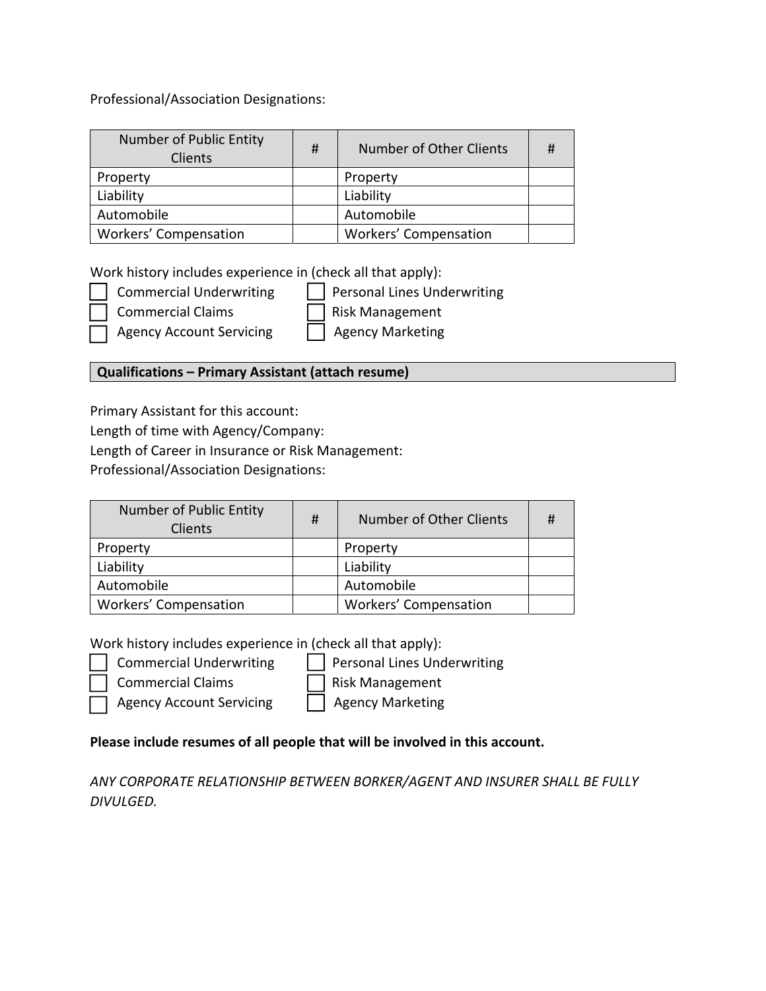Professional/Association Designations:

| Number of Public Entity<br>Clients | # | Number of Other Clients | # |
|------------------------------------|---|-------------------------|---|
| Property                           |   | Property                |   |
| Liability                          |   | Liability               |   |
| Automobile                         |   | Automobile              |   |
| <b>Workers' Compensation</b>       |   | Workers' Compensation   |   |

Work history includes experience in (check all that apply):

Commercial Underwriting | | Personal Lines Underwriting Commercial Claims Risk Management

Agency Account Servicing Agency Marketing

#### **Qualifications – Primary Assistant (attach resume)**

Primary Assistant for this account:

Length of time with Agency/Company:

Length of Career in Insurance or Risk Management:

Professional/Association Designations:

| Number of Public Entity<br>Clients | # | Number of Other Clients |  |
|------------------------------------|---|-------------------------|--|
| Property                           |   | Property                |  |
| Liability                          |   | Liability               |  |
| Automobile                         |   | Automobile              |  |
| <b>Workers' Compensation</b>       |   | Workers' Compensation   |  |

Work history includes experience in (check all that apply):

- Commercial Underwriting | | Personal Lines Underwriting
	- Commercial Claims Risk Management

Agency Account Servicing Agency Marketing

### **Please include resumes of all people that will be involved in this account.**

*ANY CORPORATE RELATIONSHIP BETWEEN BORKER/AGENT AND INSURER SHALL BE FULLY DIVULGED.*